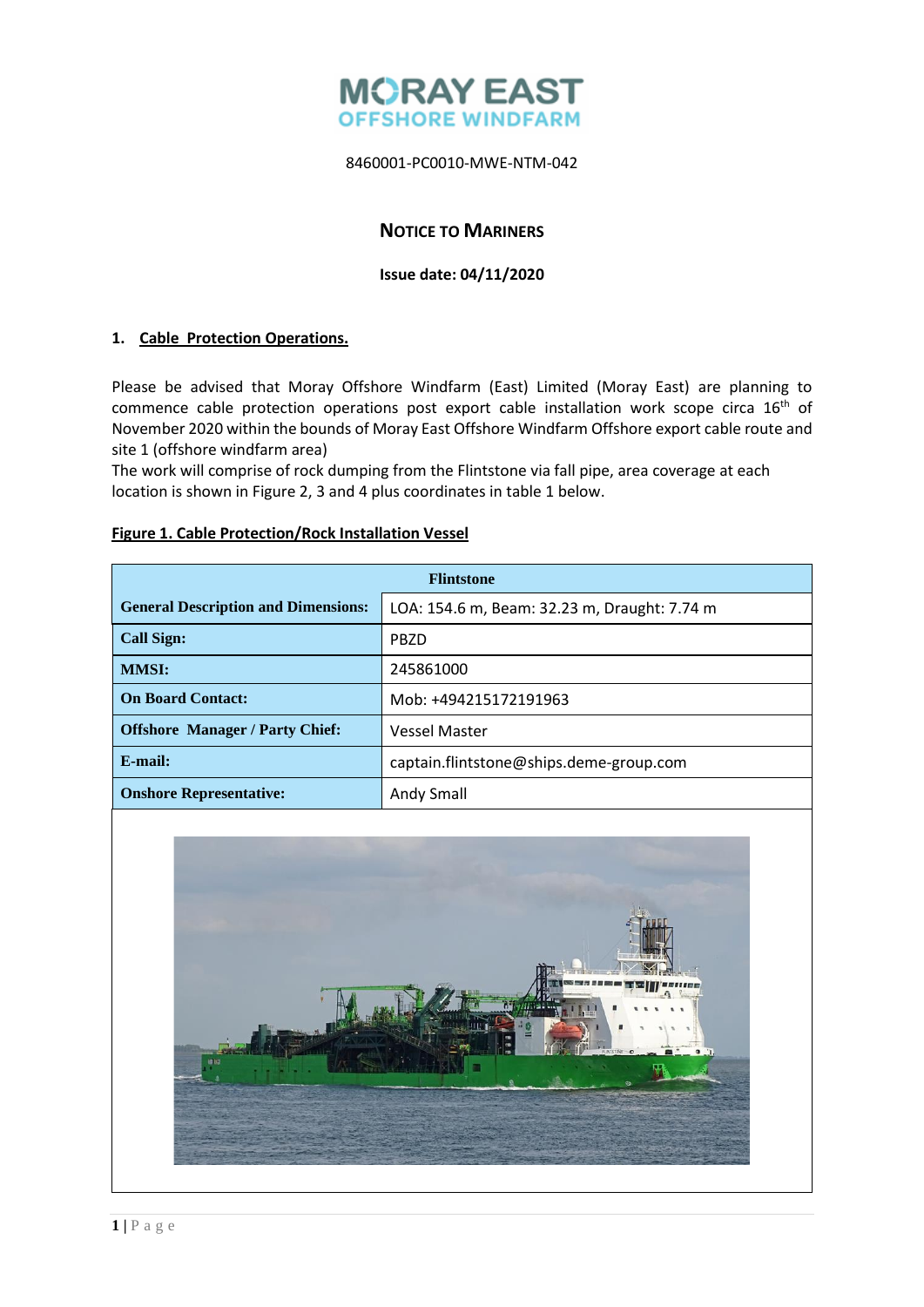

# **NOTICE TO MARINERS**

# **Issue date: 04/11/2020**

# **1. Cable Protection Operations.**

Please be advised that Moray Offshore Windfarm (East) Limited (Moray East) are planning to commence cable protection operations post export cable installation work scope circa 16<sup>th</sup> of November 2020 within the bounds of Moray East Offshore Windfarm Offshore export cable route and site 1 (offshore windfarm area)

The work will comprise of rock dumping from the Flintstone via fall pipe, area coverage at each location is shown in Figure 2, 3 and 4 plus coordinates in table 1 below.

### **Figure 1. Cable Protection/Rock Installation Vessel**

| <b>Flintstone</b>                          |                                              |  |
|--------------------------------------------|----------------------------------------------|--|
| <b>General Description and Dimensions:</b> | LOA: 154.6 m, Beam: 32.23 m, Draught: 7.74 m |  |
| <b>Call Sign:</b>                          | <b>PBZD</b>                                  |  |
| <b>MMSI:</b>                               | 245861000                                    |  |
| <b>On Board Contact:</b>                   | Mob: +494215172191963                        |  |
| <b>Offshore Manager / Party Chief:</b>     | <b>Vessel Master</b>                         |  |
| E-mail:                                    | captain.flintstone@ships.deme-group.com      |  |
| <b>Onshore Representative:</b>             | Andy Small                                   |  |

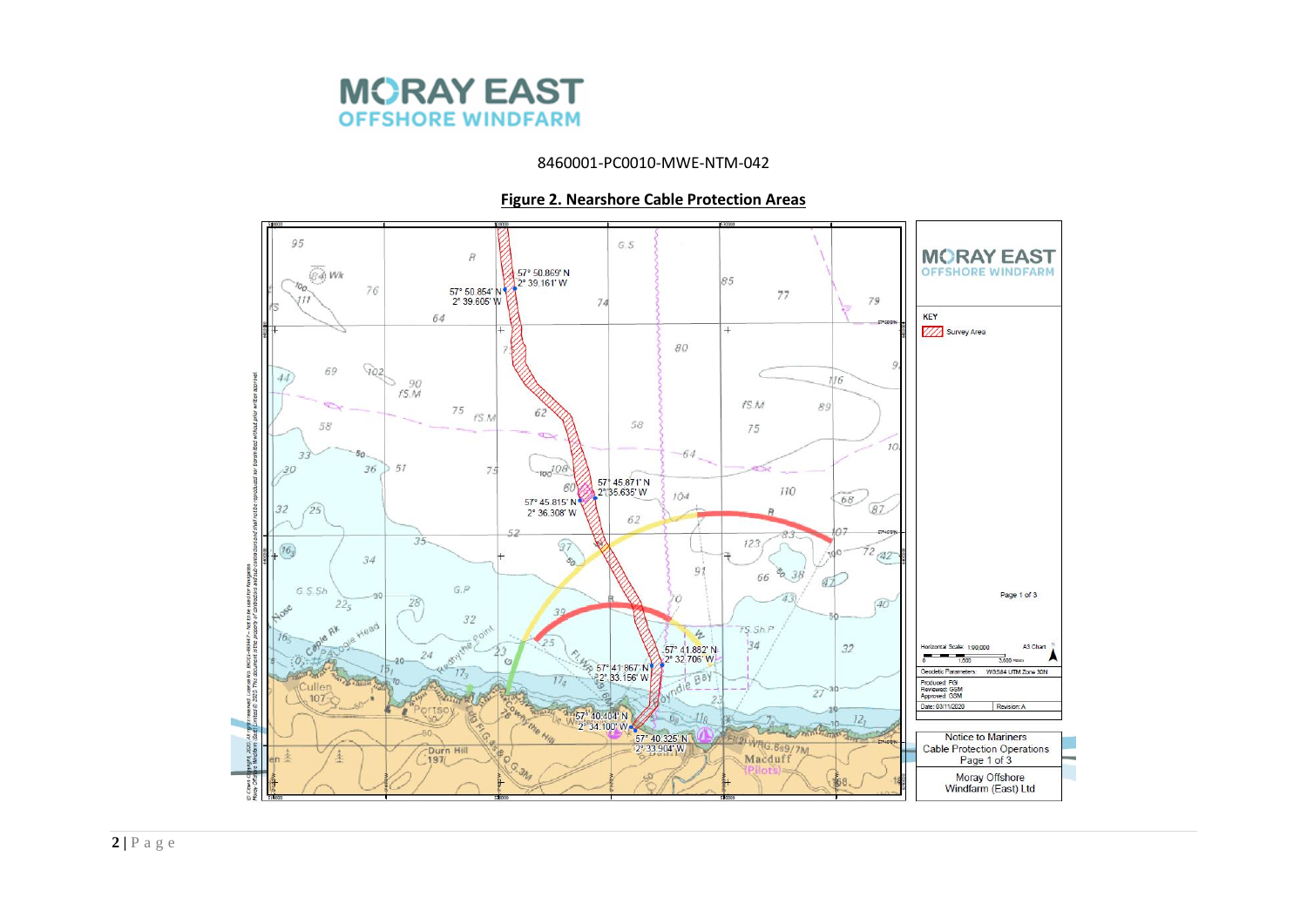

#### **Figure 2. Nearshore Cable Protection Areas**

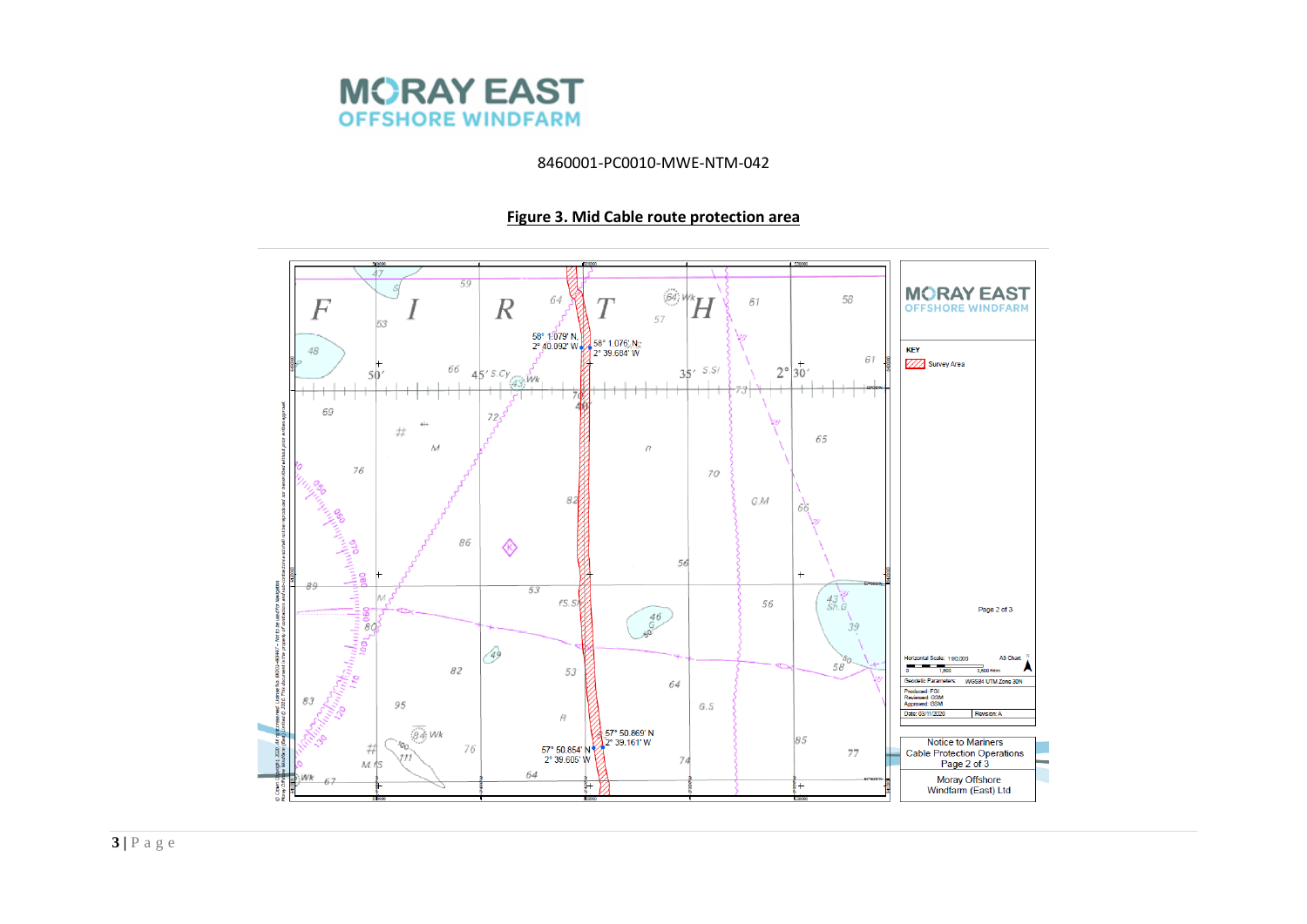

## Figure 3. Mid Cable route protection area

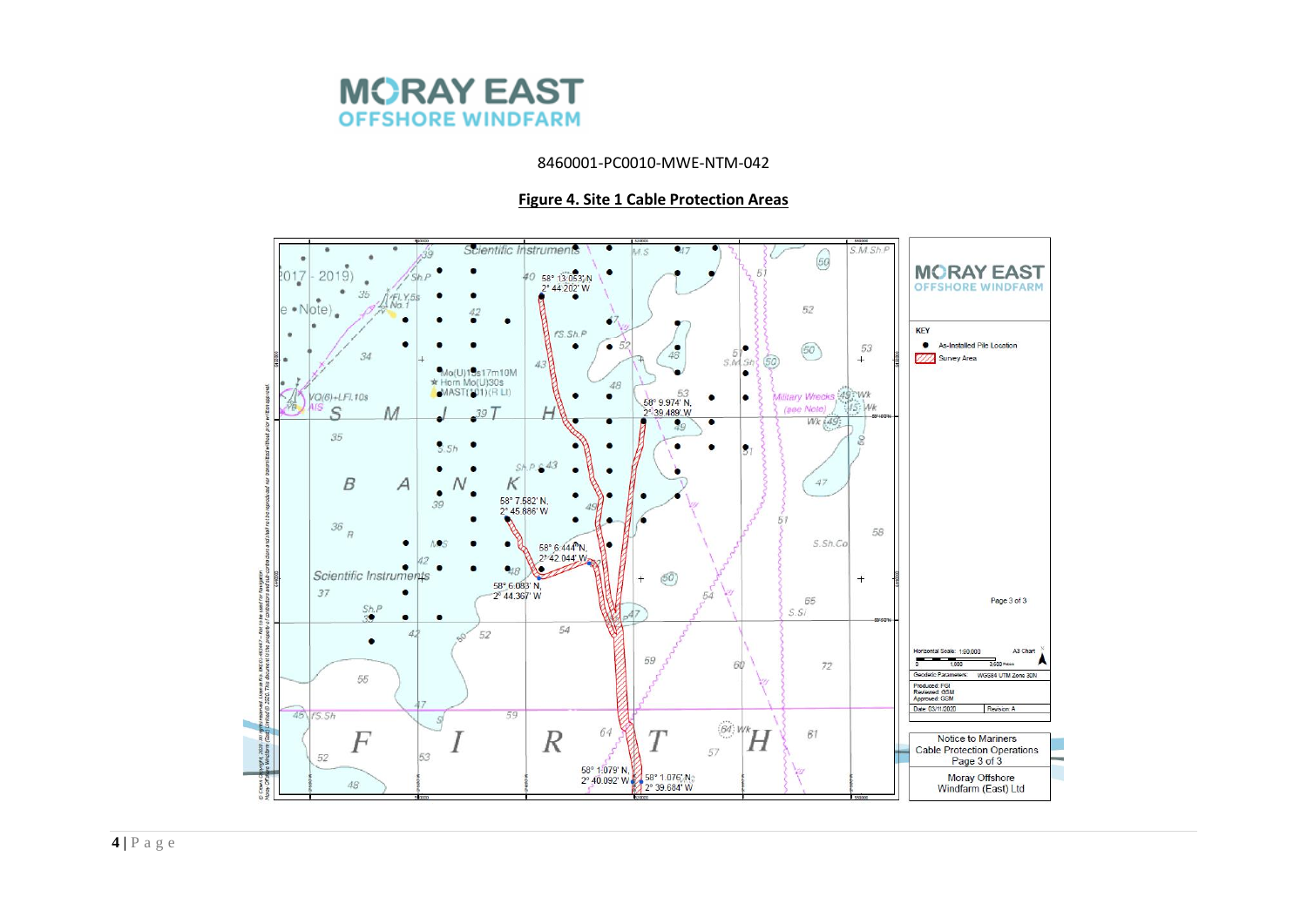![](_page_3_Picture_0.jpeg)

#### **Figure 4. Site 1 Cable Protection Areas**

![](_page_3_Figure_3.jpeg)